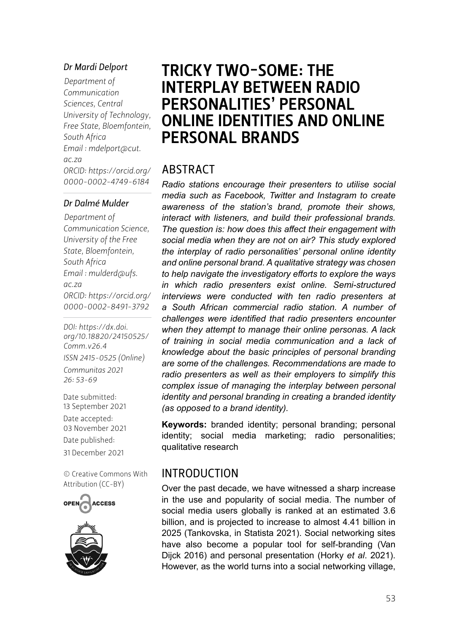#### *Dr Mardi Delport*

*Department of Communication Sciences, Central University of Technology, Free State, Bloemfontein, South Africa Email : [mdelport@cut.](mailto:mdelport@cut.ac.za) [ac.za](mailto:mdelport@cut.ac.za) ORCID: [https://orcid.org/](https://orcid.org/0000-0001-7119-519X) 0000-0002-4749-6184*

#### *Dr Dalmé Mulder*

*Department of Communication Science, University of the Free State, Bloemfontein, South Africa Email : [mulderd@ufs.](mailto:mulderd@ufs.ac.za) [ac.za](mailto:mulderd@ufs.ac.za) ORCID: [https://orcid.org/](https://orcid.org/0000-0002-8491-3792) 0000-0002-8491-3792*

*DOI: [https://dx.doi.](https://dx.doi.org/10.18820/24150525/Comm.v26.4) [org/10.18820/24150525/](https://dx.doi.org/10.18820/24150525/Comm.v26.4) [Comm.v](https://dx.doi.org/10.18820/24150525/Comm.v26.4)26.4 ISSN 2415-0525 (Online) Communitas 2021 26: 53-69*

Date submitted: 13 September 2021 Date accepted: 03 November 2021 Date published: 31 December 2021

[© Creative Commons With](https://creativecommons.org/licenses/by/2.0/za/)  [Attribution \(CC-BY\)](https://creativecommons.org/licenses/by/2.0/za/)





# TRICKY TWO-SOME: THE INTERPLAY BETWEEN RADIO PERSONALITIES' PERSONAL ONLINE IDENTITIES AND ONLINE PERSONAL BRANDS

## ABSTRACT

*Radio stations encourage their presenters to utilise social media such as Facebook, Twitter and Instagram to create awareness of the station's brand, promote their shows, interact with listeners, and build their professional brands. The question is: how does this affect their engagement with social media when they are not on air? This study explored the interplay of radio personalities' personal online identity and online personal brand. A qualitative strategy was chosen to help navigate the investigatory efforts to explore the ways in which radio presenters exist online. Semi-structured interviews were conducted with ten radio presenters at a South African commercial radio station. A number of challenges were identified that radio presenters encounter when they attempt to manage their online personas. A lack of training in social media communication and a lack of knowledge about the basic principles of personal branding are some of the challenges. Recommendations are made to radio presenters as well as their employers to simplify this complex issue of managing the interplay between personal identity and personal branding in creating a branded identity (as opposed to a brand identity).*

**Keywords:** branded identity; personal branding; personal identity; social media marketing; radio personalities; qualitative research

### INTRODUCTION

Over the past decade, we have witnessed a sharp increase in the use and popularity of social media. The number of social media users globally is ranked at an estimated 3.6 billion, and is projected to increase to almost 4.41 billion in 2025 (Tankovska, in Statista 2021). Social networking sites have also become a popular tool for self-branding (Van Dijck 2016) and personal presentation (Horky *et al*. 2021). However, as the world turns into a social networking village,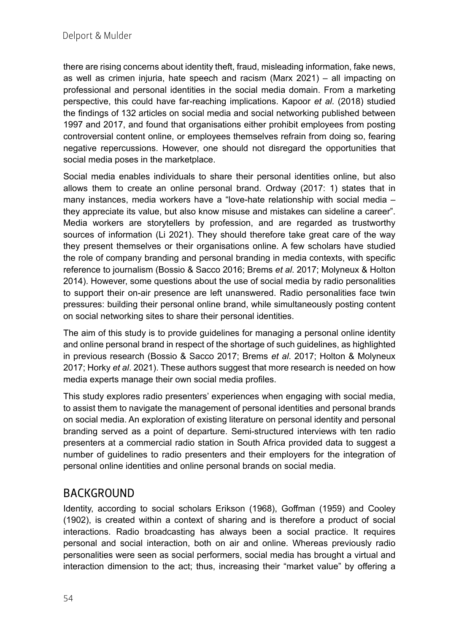there are rising concerns about identity theft, fraud, misleading information, fake news, as well as crimen injuria, hate speech and racism (Marx 2021) – all impacting on professional and personal identities in the social media domain. From a marketing perspective, this could have far-reaching implications. Kapoor *et al*. (2018) studied the findings of 132 articles on social media and social networking published between 1997 and 2017, and found that organisations either prohibit employees from posting controversial content online, or employees themselves refrain from doing so, fearing negative repercussions. However, one should not disregard the opportunities that social media poses in the marketplace.

Social media enables individuals to share their personal identities online, but also allows them to create an online personal brand. Ordway (2017: 1) states that in many instances, media workers have a "love-hate relationship with social media – they appreciate its value, but also know misuse and mistakes can sideline a career". Media workers are storytellers by profession, and are regarded as trustworthy sources of information (Li 2021). They should therefore take great care of the way they present themselves or their organisations online. A few scholars have studied the role of company branding and personal branding in media contexts, with specific reference to journalism (Bossio & Sacco 2016; Brems *et al*. 2017; Molyneux & Holton 2014). However, some questions about the use of social media by radio personalities to support their on-air presence are left unanswered. Radio personalities face twin pressures: building their personal online brand, while simultaneously posting content on social networking sites to share their personal identities.

The aim of this study is to provide guidelines for managing a personal online identity and online personal brand in respect of the shortage of such guidelines, as highlighted in previous research (Bossio & Sacco 2017; Brems *et al*. 2017; Holton & Molyneux 2017; Horky *et al*. 2021). These authors suggest that more research is needed on how media experts manage their own social media profiles.

This study explores radio presenters' experiences when engaging with social media, to assist them to navigate the management of personal identities and personal brands on social media. An exploration of existing literature on personal identity and personal branding served as a point of departure. Semi-structured interviews with ten radio presenters at a commercial radio station in South Africa provided data to suggest a number of guidelines to radio presenters and their employers for the integration of personal online identities and online personal brands on social media.

## BACKGROUND

Identity, according to social scholars Erikson (1968), Goffman (1959) and Cooley (1902), is created within a context of sharing and is therefore a product of social interactions. Radio broadcasting has always been a social practice. It requires personal and social interaction, both on air and online. Whereas previously radio personalities were seen as social performers, social media has brought a virtual and interaction dimension to the act; thus, increasing their "market value" by offering a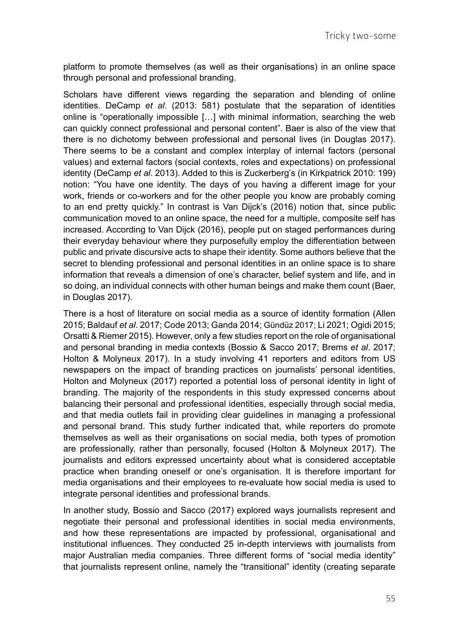platform to promote themselves (as well as their organisations) in an online space through personal and professional branding.

Scholars have different views regarding the separation and blending of online identities. DeCamp *et al*. (2013: 581) postulate that the separation of identities online is "operationally impossible […] with minimal information, searching the web can quickly connect professional and personal content". Baer is also of the view that there is no dichotomy between professional and personal lives (in Douglas 2017). There seems to be a constant and complex interplay of internal factors (personal values) and external factors (social contexts, roles and expectations) on professional identity (DeCamp *et al*. 2013). Added to this is Zuckerberg's (in Kirkpatrick 2010: 199) notion: "You have one identity. The days of you having a different image for your work, friends or co-workers and for the other people you know are probably coming to an end pretty quickly." In contrast is Van Dijck's (2016) notion that, since public communication moved to an online space, the need for a multiple, composite self has increased. According to Van Dijck (2016), people put on staged performances during their everyday behaviour where they purposefully employ the differentiation between public and private discursive acts to shape their identity. Some authors believe that the secret to blending professional and personal identities in an online space is to share information that reveals a dimension of one's character, belief system and life, and in so doing, an individual connects with other human beings and make them count (Baer, in Douglas 2017).

There is a host of literature on social media as a source of identity formation (Allen 2015; Baldauf *et al*. 2017; Code 2013; Ganda 2014; [Gündüz](https://www.researchgate.net/profile/Ugur-Guenduez) 2017; Li 2021; Ogidi 2015; Orsatti & Riemer 2015). However, only a few studies report on the role of organisational and personal branding in media contexts (Bossio & Sacco 2017; Brems *et al*. 2017; Holton & Molyneux 2017). In a study involving 41 reporters and editors from US newspapers on the impact of branding practices on journalists' personal identities, Holton and Molyneux (2017) reported a potential loss of personal identity in light of branding. The majority of the respondents in this study expressed concerns about balancing their personal and professional identities, especially through social media, and that media outlets fail in providing clear guidelines in managing a professional and personal brand. This study further indicated that, while reporters do promote themselves as well as their organisations on social media, both types of promotion are professionally, rather than personally, focused (Holton & Molyneux 2017). The journalists and editors expressed uncertainty about what is considered acceptable practice when branding oneself or one's organisation. It is therefore important for media organisations and their employees to re-evaluate how social media is used to integrate personal identities and professional brands.

In another study, Bossio and Sacco (2017) explored ways journalists represent and negotiate their personal and professional identities in social media environments, and how these representations are impacted by professional, organisational and institutional influences. They conducted 25 in-depth interviews with journalists from major Australian media companies. Three different forms of "social media identity" that journalists represent online, namely the "transitional" identity (creating separate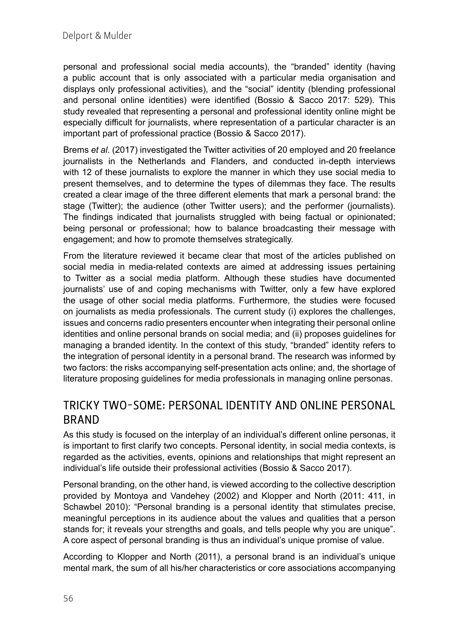personal and professional social media accounts), the "branded" identity (having a public account that is only associated with a particular media organisation and displays only professional activities), and the "social" identity (blending professional and personal online identities) were identified (Bossio & Sacco 2017: 529). This study revealed that representing a personal and professional identity online might be especially difficult for journalists, where representation of a particular character is an important part of professional practice (Bossio & Sacco 2017).

Brems *et al*. (2017) investigated the Twitter activities of 20 employed and 20 freelance journalists in the Netherlands and Flanders, and conducted in-depth interviews with 12 of these journalists to explore the manner in which they use social media to present themselves, and to determine the types of dilemmas they face. The results created a clear image of the three different elements that mark a personal brand: the stage (Twitter); the audience (other Twitter users); and the performer (journalists). The findings indicated that journalists struggled with being factual or opinionated; being personal or professional; how to balance broadcasting their message with engagement; and how to promote themselves strategically.

From the literature reviewed it became clear that most of the articles published on social media in media-related contexts are aimed at addressing issues pertaining to Twitter as a social media platform. Although these studies have documented journalists' use of and coping mechanisms with Twitter, only a few have explored the usage of other social media platforms. Furthermore, the studies were focused on journalists as media professionals. The current study (i) explores the challenges, issues and concerns radio presenters encounter when integrating their personal online identities and online personal brands on social media; and (ii) proposes guidelines for managing a branded identity. In the context of this study, "branded" identity refers to the integration of personal identity in a personal brand. The research was informed by two factors: the risks accompanying self-presentation acts online; and, the shortage of literature proposing guidelines for media professionals in managing online personas.

## TRICKY TWO-SOME: PERSONAL IDENTITY AND ONLINE PERSONAL BRAND

As this study is focused on the interplay of an individual's different online personas, it is important to first clarify two concepts. Personal identity, in social media contexts, is regarded as the activities, events, opinions and relationships that might represent an individual's life outside their professional activities (Bossio & Sacco 2017).

Personal branding, on the other hand, is viewed according to the collective description provided by Montoya and Vandehey (2002) and Klopper and North (2011: 411, in Schawbel 2010): "Personal branding is a personal identity that stimulates precise, meaningful perceptions in its audience about the values and qualities that a person stands for; it reveals your strengths and goals, and tells people why you are unique". A core aspect of personal branding is thus an individual's unique promise of value.

According to Klopper and North (2011), a personal brand is an individual's unique mental mark, the sum of all his/her characteristics or core associations accompanying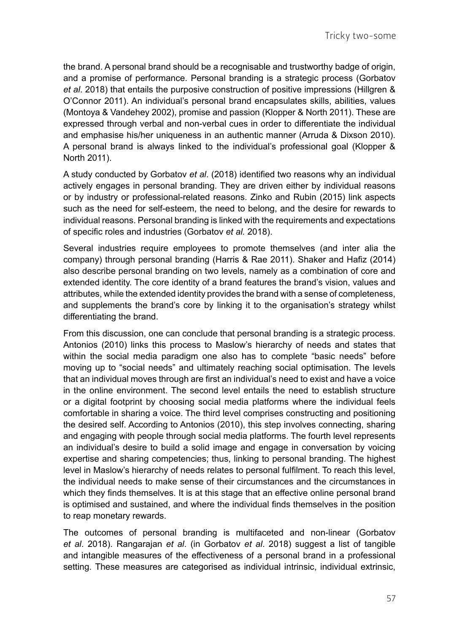the brand. A personal brand should be a recognisable and trustworthy badge of origin, and a promise of performance. Personal branding is a strategic process (Gorbatov *et al*. 2018) that entails the purposive construction of positive impressions (Hillgren & O'Connor 2011). An individual's personal brand encapsulates skills, abilities, values (Montoya & Vandehey 2002), promise and passion (Klopper & North 2011). These are expressed through verbal and non-verbal cues in order to differentiate the individual and emphasise his/her uniqueness in an authentic manner (Arruda & Dixson 2010). A personal brand is always linked to the individual's professional goal (Klopper & North 2011).

A study conducted by Gorbatov *et al*. (2018) identified two reasons why an individual actively engages in personal branding. They are driven either by individual reasons or by industry or professional-related reasons. Zinko and Rubin (2015) link aspects such as the need for self-esteem, the need to belong, and the desire for rewards to individual reasons. Personal branding is linked with the requirements and expectations of specific roles and industries (Gorbatov *et al.* 2018).

Several industries require employees to promote themselves (and inter alia the company) through personal branding (Harris & Rae 2011). Shaker and Hafiz (2014) also describe personal branding on two levels, namely as a combination of core and extended identity. The core identity of a brand features the brand's vision, values and attributes, while the extended identity provides the brand with a sense of completeness, and supplements the brand's core by linking it to the organisation's strategy whilst differentiating the brand.

From this discussion, one can conclude that personal branding is a strategic process. Antonios (2010) links this process to Maslow's hierarchy of needs and states that within the social media paradigm one also has to complete "basic needs" before moving up to "social needs" and ultimately reaching social optimisation. The levels that an individual moves through are first an individual's need to exist and have a voice in the online environment. The second level entails the need to establish structure or a digital footprint by choosing social media platforms where the individual feels comfortable in sharing a voice. The third level comprises constructing and positioning the desired self. According to Antonios (2010), this step involves connecting, sharing and engaging with people through social media platforms. The fourth level represents an individual's desire to build a solid image and engage in conversation by voicing expertise and sharing competencies; thus, linking to personal branding. The highest level in Maslow's hierarchy of needs relates to personal fulfilment. To reach this level, the individual needs to make sense of their circumstances and the circumstances in which they finds themselves. It is at this stage that an effective online personal brand is optimised and sustained, and where the individual finds themselves in the position to reap monetary rewards.

The outcomes of personal branding is multifaceted and non-linear (Gorbatov *et al*. 2018). Rangarajan *et al*. (in Gorbatov *et al*. 2018) suggest a list of tangible and intangible measures of the effectiveness of a personal brand in a professional setting. These measures are categorised as individual intrinsic, individual extrinsic,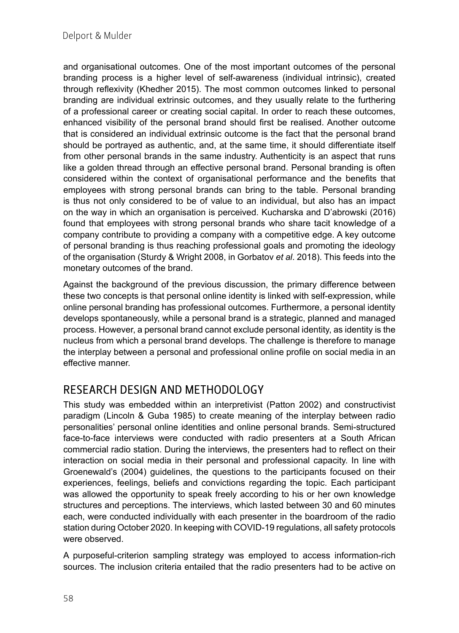and organisational outcomes. One of the most important outcomes of the personal branding process is a higher level of self-awareness (individual intrinsic), created through reflexivity (Khedher 2015). The most common outcomes linked to personal branding are individual extrinsic outcomes, and they usually relate to the furthering of a professional career or creating social capital. In order to reach these outcomes, enhanced visibility of the personal brand should first be realised. Another outcome that is considered an individual extrinsic outcome is the fact that the personal brand should be portrayed as authentic, and, at the same time, it should differentiate itself from other personal brands in the same industry. Authenticity is an aspect that runs like a golden thread through an effective personal brand. Personal branding is often considered within the context of organisational performance and the benefits that employees with strong personal brands can bring to the table. Personal branding is thus not only considered to be of value to an individual, but also has an impact on the way in which an organisation is perceived. Kucharska and D'abrowski (2016) found that employees with strong personal brands who share tacit knowledge of a company contribute to providing a company with a competitive edge. A key outcome of personal branding is thus reaching professional goals and promoting the ideology of the organisation (Sturdy & Wright 2008, in Gorbatov *et al*. 2018). This feeds into the monetary outcomes of the brand.

Against the background of the previous discussion, the primary difference between these two concepts is that personal online identity is linked with self-expression, while online personal branding has professional outcomes. Furthermore, a personal identity develops spontaneously, while a personal brand is a strategic, planned and managed process. However, a personal brand cannot exclude personal identity, as identity is the nucleus from which a personal brand develops. The challenge is therefore to manage the interplay between a personal and professional online profile on social media in an effective manner.

## RESEARCH DESIGN AND METHODOLOGY

This study was embedded within an interpretivist (Patton 2002) and constructivist paradigm (Lincoln & Guba 1985) to create meaning of the interplay between radio personalities' personal online identities and online personal brands. Semi-structured face-to-face interviews were conducted with radio presenters at a South African commercial radio station. During the interviews, the presenters had to reflect on their interaction on social media in their personal and professional capacity. In line with Groenewald's (2004) guidelines, the questions to the participants focused on their experiences, feelings, beliefs and convictions regarding the topic. Each participant was allowed the opportunity to speak freely according to his or her own knowledge structures and perceptions. The interviews, which lasted between 30 and 60 minutes each, were conducted individually with each presenter in the boardroom of the radio station during October 2020. In keeping with COVID-19 regulations, all safety protocols were observed.

A purposeful-criterion sampling strategy was employed to access information-rich sources. The inclusion criteria entailed that the radio presenters had to be active on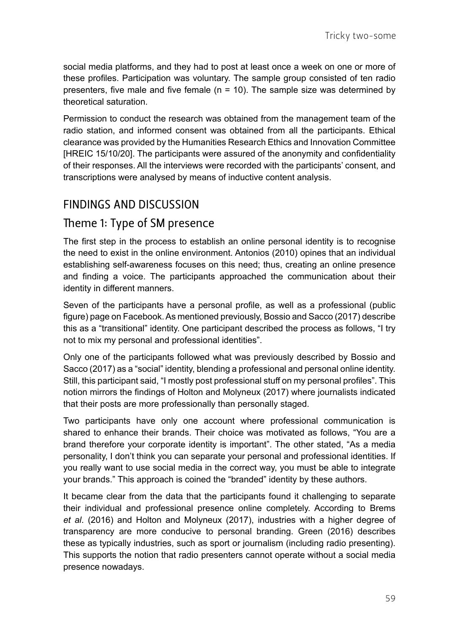social media platforms, and they had to post at least once a week on one or more of these profiles. Participation was voluntary. The sample group consisted of ten radio presenters, five male and five female ( $n = 10$ ). The sample size was determined by theoretical saturation.

Permission to conduct the research was obtained from the management team of the radio station, and informed consent was obtained from all the participants. Ethical clearance was provided by the Humanities Research Ethics and Innovation Committee [HREIC 15/10/20]. The participants were assured of the anonymity and confidentiality of their responses. All the interviews were recorded with the participants' consent, and transcriptions were analysed by means of inductive content analysis.

## FINDINGS AND DISCUSSION

### Theme 1: Type of SM presence

The first step in the process to establish an online personal identity is to recognise the need to exist in the online environment. Antonios (2010) opines that an individual establishing self-awareness focuses on this need; thus, creating an online presence and finding a voice. The participants approached the communication about their identity in different manners.

Seven of the participants have a personal profile, as well as a professional (public figure) page on Facebook. As mentioned previously, Bossio and Sacco (2017) describe this as a "transitional" identity. One participant described the process as follows, "I try not to mix my personal and professional identities".

Only one of the participants followed what was previously described by Bossio and Sacco (2017) as a "social" identity, blending a professional and personal online identity. Still, this participant said, "I mostly post professional stuff on my personal profiles". This notion mirrors the findings of Holton and Molyneux (2017) where journalists indicated that their posts are more professionally than personally staged.

Two participants have only one account where professional communication is shared to enhance their brands. Their choice was motivated as follows, "You are a brand therefore your corporate identity is important". The other stated, "As a media personality, I don't think you can separate your personal and professional identities. If you really want to use social media in the correct way, you must be able to integrate your brands." This approach is coined the "branded" identity by these authors.

It became clear from the data that the participants found it challenging to separate their individual and professional presence online completely. According to Brems *et al*. (2016) and Holton and Molyneux (2017), industries with a higher degree of transparency are more conducive to personal branding. Green (2016) describes these as typically industries, such as sport or journalism (including radio presenting). This supports the notion that radio presenters cannot operate without a social media presence nowadays.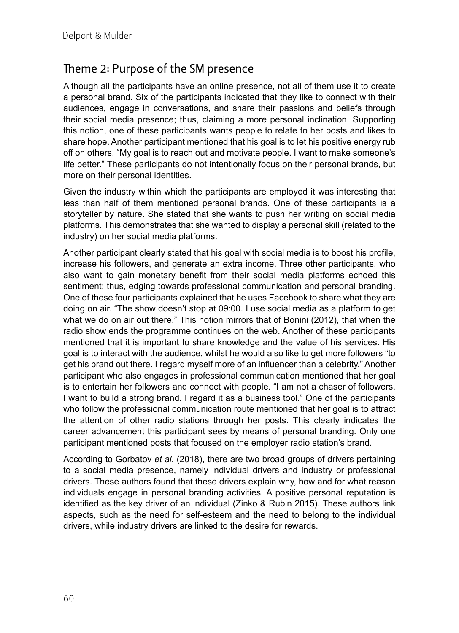# Theme 2: Purpose of the SM presence

Although all the participants have an online presence, not all of them use it to create a personal brand. Six of the participants indicated that they like to connect with their audiences, engage in conversations, and share their passions and beliefs through their social media presence; thus, claiming a more personal inclination. Supporting this notion, one of these participants wants people to relate to her posts and likes to share hope. Another participant mentioned that his goal is to let his positive energy rub off on others. "My goal is to reach out and motivate people. I want to make someone's life better." These participants do not intentionally focus on their personal brands, but more on their personal identities.

Given the industry within which the participants are employed it was interesting that less than half of them mentioned personal brands. One of these participants is a storyteller by nature. She stated that she wants to push her writing on social media platforms. This demonstrates that she wanted to display a personal skill (related to the industry) on her social media platforms.

Another participant clearly stated that his goal with social media is to boost his profile, increase his followers, and generate an extra income. Three other participants, who also want to gain monetary benefit from their social media platforms echoed this sentiment; thus, edging towards professional communication and personal branding. One of these four participants explained that he uses Facebook to share what they are doing on air. "The show doesn't stop at 09:00. I use social media as a platform to get what we do on air out there." This notion mirrors that of Bonini (2012), that when the radio show ends the programme continues on the web. Another of these participants mentioned that it is important to share knowledge and the value of his services. His goal is to interact with the audience, whilst he would also like to get more followers "to get his brand out there. I regard myself more of an influencer than a celebrity." Another participant who also engages in professional communication mentioned that her goal is to entertain her followers and connect with people. "I am not a chaser of followers. I want to build a strong brand. I regard it as a business tool." One of the participants who follow the professional communication route mentioned that her goal is to attract the attention of other radio stations through her posts. This clearly indicates the career advancement this participant sees by means of personal branding. Only one participant mentioned posts that focused on the employer radio station's brand.

According to Gorbatov *et al*. (2018), there are two broad groups of drivers pertaining to a social media presence, namely individual drivers and industry or professional drivers. These authors found that these drivers explain why, how and for what reason individuals engage in personal branding activities. A positive personal reputation is identified as the key driver of an individual (Zinko & Rubin 2015). These authors link aspects, such as the need for self-esteem and the need to belong to the individual drivers, while industry drivers are linked to the desire for rewards.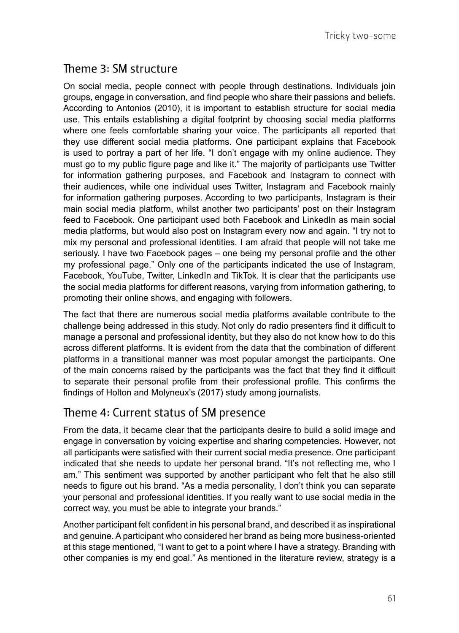### Theme 3: SM structure

On social media, people connect with people through destinations. Individuals join groups, engage in conversation, and find people who share their passions and beliefs. According to Antonios (2010), it is important to establish structure for social media use. This entails establishing a digital footprint by choosing social media platforms where one feels comfortable sharing your voice. The participants all reported that they use different social media platforms. One participant explains that Facebook is used to portray a part of her life. "I don't engage with my online audience. They must go to my public figure page and like it." The majority of participants use Twitter for information gathering purposes, and Facebook and Instagram to connect with their audiences, while one individual uses Twitter, Instagram and Facebook mainly for information gathering purposes. According to two participants, Instagram is their main social media platform, whilst another two participants' post on their Instagram feed to Facebook. One participant used both Facebook and LinkedIn as main social media platforms, but would also post on Instagram every now and again. "I try not to mix my personal and professional identities. I am afraid that people will not take me seriously. I have two Facebook pages – one being my personal profile and the other my professional page." Only one of the participants indicated the use of Instagram, Facebook, YouTube, Twitter, LinkedIn and TikTok. It is clear that the participants use the social media platforms for different reasons, varying from information gathering, to promoting their online shows, and engaging with followers.

The fact that there are numerous social media platforms available contribute to the challenge being addressed in this study. Not only do radio presenters find it difficult to manage a personal and professional identity, but they also do not know how to do this across different platforms. It is evident from the data that the combination of different platforms in a transitional manner was most popular amongst the participants. One of the main concerns raised by the participants was the fact that they find it difficult to separate their personal profile from their professional profile. This confirms the findings of Holton and Molyneux's (2017) study among journalists.

## Theme 4: Current status of SM presence

From the data, it became clear that the participants desire to build a solid image and engage in conversation by voicing expertise and sharing competencies. However, not all participants were satisfied with their current social media presence. One participant indicated that she needs to update her personal brand. "It's not reflecting me, who I am." This sentiment was supported by another participant who felt that he also still needs to figure out his brand. "As a media personality, I don't think you can separate your personal and professional identities. If you really want to use social media in the correct way, you must be able to integrate your brands."

Another participant felt confident in his personal brand, and described it as inspirational and genuine. A participant who considered her brand as being more business-oriented at this stage mentioned, "I want to get to a point where I have a strategy. Branding with other companies is my end goal." As mentioned in the literature review, strategy is a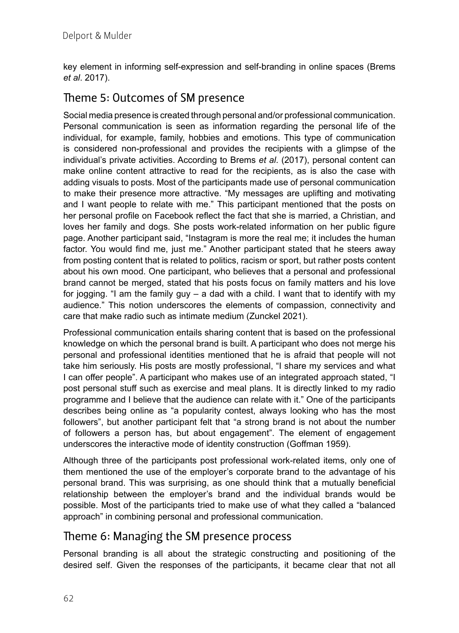key element in informing self-expression and self-branding in online spaces (Brems *et al*. 2017).

## Theme 5: Outcomes of SM presence

Social media presence is created through personal and/or professional communication. Personal communication is seen as information regarding the personal life of the individual, for example, family, hobbies and emotions. This type of communication is considered non-professional and provides the recipients with a glimpse of the individual's private activities. According to Brems *et al*. (2017), personal content can make online content attractive to read for the recipients, as is also the case with adding visuals to posts. Most of the participants made use of personal communication to make their presence more attractive. "My messages are uplifting and motivating and I want people to relate with me." This participant mentioned that the posts on her personal profile on Facebook reflect the fact that she is married, a Christian, and loves her family and dogs. She posts work-related information on her public figure page. Another participant said, "Instagram is more the real me; it includes the human factor. You would find me, just me." Another participant stated that he steers away from posting content that is related to politics, racism or sport, but rather posts content about his own mood. One participant, who believes that a personal and professional brand cannot be merged, stated that his posts focus on family matters and his love for jogging. "I am the family guy – a dad with a child. I want that to identify with my audience." This notion underscores the elements of compassion, connectivity and care that make radio such as intimate medium (Zunckel 2021).

Professional communication entails sharing content that is based on the professional knowledge on which the personal brand is built. A participant who does not merge his personal and professional identities mentioned that he is afraid that people will not take him seriously. His posts are mostly professional, "I share my services and what I can offer people". A participant who makes use of an integrated approach stated, "I post personal stuff such as exercise and meal plans. It is directly linked to my radio programme and I believe that the audience can relate with it." One of the participants describes being online as "a popularity contest, always looking who has the most followers", but another participant felt that "a strong brand is not about the number of followers a person has, but about engagement". The element of engagement underscores the interactive mode of identity construction (Goffman 1959).

Although three of the participants post professional work-related items, only one of them mentioned the use of the employer's corporate brand to the advantage of his personal brand. This was surprising, as one should think that a mutually beneficial relationship between the employer's brand and the individual brands would be possible. Most of the participants tried to make use of what they called a "balanced approach" in combining personal and professional communication.

## Theme 6: Managing the SM presence process

Personal branding is all about the strategic constructing and positioning of the desired self. Given the responses of the participants, it became clear that not all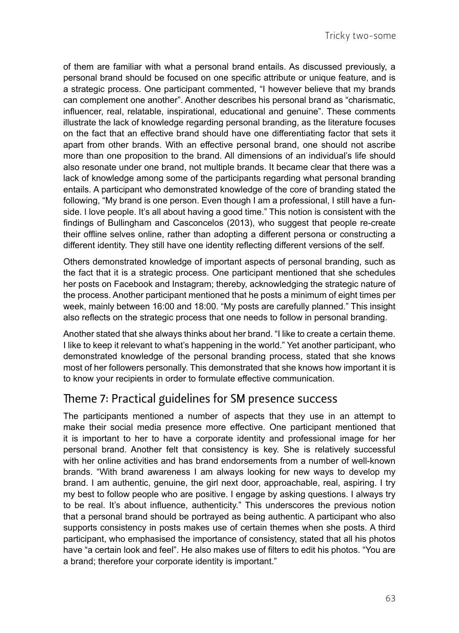Tricky two-some

of them are familiar with what a personal brand entails. As discussed previously, a personal brand should be focused on one specific attribute or unique feature, and is a strategic process. One participant commented, "I however believe that my brands can complement one another". Another describes his personal brand as "charismatic, influencer, real, relatable, inspirational, educational and genuine". These comments illustrate the lack of knowledge regarding personal branding, as the literature focuses on the fact that an effective brand should have one differentiating factor that sets it apart from other brands. With an effective personal brand, one should not ascribe more than one proposition to the brand. All dimensions of an individual's life should also resonate under one brand, not multiple brands. It became clear that there was a lack of knowledge among some of the participants regarding what personal branding entails. A participant who demonstrated knowledge of the core of branding stated the following, "My brand is one person. Even though I am a professional, I still have a funside. I love people. It's all about having a good time." This notion is consistent with the findings of Bullingham and Casconcelos (2013), who suggest that people re-create their offline selves online, rather than adopting a different persona or constructing a different identity. They still have one identity reflecting different versions of the self.

Others demonstrated knowledge of important aspects of personal branding, such as the fact that it is a strategic process. One participant mentioned that she schedules her posts on Facebook and Instagram; thereby, acknowledging the strategic nature of the process. Another participant mentioned that he posts a minimum of eight times per week, mainly between 16:00 and 18:00. "My posts are carefully planned." This insight also reflects on the strategic process that one needs to follow in personal branding.

Another stated that she always thinks about her brand. "I like to create a certain theme. I like to keep it relevant to what's happening in the world." Yet another participant, who demonstrated knowledge of the personal branding process, stated that she knows most of her followers personally. This demonstrated that she knows how important it is to know your recipients in order to formulate effective communication.

## Theme 7: Practical guidelines for SM presence success

The participants mentioned a number of aspects that they use in an attempt to make their social media presence more effective. One participant mentioned that it is important to her to have a corporate identity and professional image for her personal brand. Another felt that consistency is key. She is relatively successful with her online activities and has brand endorsements from a number of well-known brands. "With brand awareness I am always looking for new ways to develop my brand. I am authentic, genuine, the girl next door, approachable, real, aspiring. I try my best to follow people who are positive. I engage by asking questions. I always try to be real. It's about influence, authenticity." This underscores the previous notion that a personal brand should be portrayed as being authentic. A participant who also supports consistency in posts makes use of certain themes when she posts. A third participant, who emphasised the importance of consistency, stated that all his photos have "a certain look and feel". He also makes use of filters to edit his photos. "You are a brand; therefore your corporate identity is important."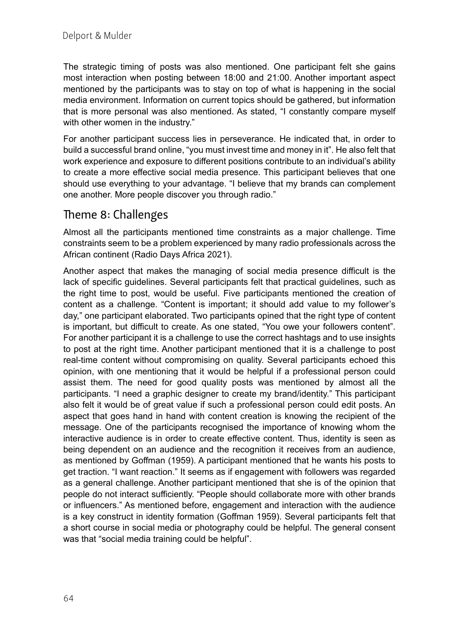The strategic timing of posts was also mentioned. One participant felt she gains most interaction when posting between 18:00 and 21:00. Another important aspect mentioned by the participants was to stay on top of what is happening in the social media environment. Information on current topics should be gathered, but information that is more personal was also mentioned. As stated, "I constantly compare myself with other women in the industry."

For another participant success lies in perseverance. He indicated that, in order to build a successful brand online, "you must invest time and money in it". He also felt that work experience and exposure to different positions contribute to an individual's ability to create a more effective social media presence. This participant believes that one should use everything to your advantage. "I believe that my brands can complement one another. More people discover you through radio."

# Theme 8: Challenges

Almost all the participants mentioned time constraints as a major challenge. Time constraints seem to be a problem experienced by many radio professionals across the African continent (Radio Days Africa 2021).

Another aspect that makes the managing of social media presence difficult is the lack of specific guidelines. Several participants felt that practical guidelines, such as the right time to post, would be useful. Five participants mentioned the creation of content as a challenge. "Content is important; it should add value to my follower's day," one participant elaborated. Two participants opined that the right type of content is important, but difficult to create. As one stated, "You owe your followers content". For another participant it is a challenge to use the correct hashtags and to use insights to post at the right time. Another participant mentioned that it is a challenge to post real-time content without compromising on quality. Several participants echoed this opinion, with one mentioning that it would be helpful if a professional person could assist them. The need for good quality posts was mentioned by almost all the participants. "I need a graphic designer to create my brand/identity." This participant also felt it would be of great value if such a professional person could edit posts. An aspect that goes hand in hand with content creation is knowing the recipient of the message. One of the participants recognised the importance of knowing whom the interactive audience is in order to create effective content. Thus, identity is seen as being dependent on an audience and the recognition it receives from an audience, as mentioned by Goffman (1959). A participant mentioned that he wants his posts to get traction. "I want reaction." It seems as if engagement with followers was regarded as a general challenge. Another participant mentioned that she is of the opinion that people do not interact sufficiently. "People should collaborate more with other brands or influencers." As mentioned before, engagement and interaction with the audience is a key construct in identity formation (Goffman 1959). Several participants felt that a short course in social media or photography could be helpful. The general consent was that "social media training could be helpful".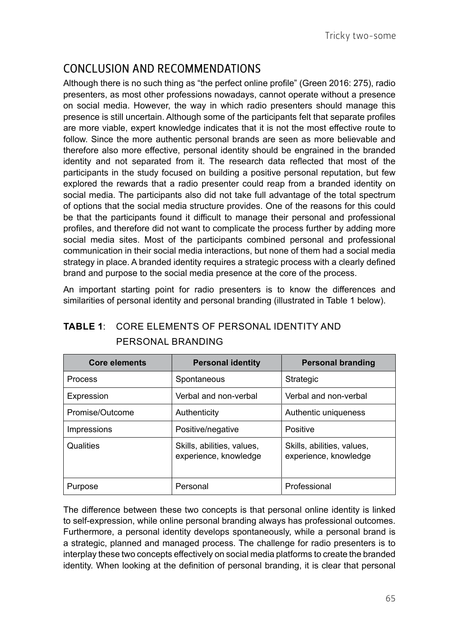## CONCLUSION AND RECOMMENDATIONS

Although there is no such thing as "the perfect online profile" (Green 2016: 275), radio presenters, as most other professions nowadays, cannot operate without a presence on social media. However, the way in which radio presenters should manage this presence is still uncertain. Although some of the participants felt that separate profiles are more viable, expert knowledge indicates that it is not the most effective route to follow. Since the more authentic personal brands are seen as more believable and therefore also more effective, personal identity should be engrained in the branded identity and not separated from it. The research data reflected that most of the participants in the study focused on building a positive personal reputation, but few explored the rewards that a radio presenter could reap from a branded identity on social media. The participants also did not take full advantage of the total spectrum of options that the social media structure provides. One of the reasons for this could be that the participants found it difficult to manage their personal and professional profiles, and therefore did not want to complicate the process further by adding more social media sites. Most of the participants combined personal and professional communication in their social media interactions, but none of them had a social media strategy in place. A branded identity requires a strategic process with a clearly defined brand and purpose to the social media presence at the core of the process.

An important starting point for radio presenters is to know the differences and similarities of personal identity and personal branding (illustrated in Table 1 below).

| <b>Core elements</b> | <b>Personal identity</b>                            | <b>Personal branding</b>                            |
|----------------------|-----------------------------------------------------|-----------------------------------------------------|
| <b>Process</b>       | Spontaneous                                         | Strategic                                           |
| Expression           | Verbal and non-verbal                               | Verbal and non-verbal                               |
| Promise/Outcome      | Authenticity                                        | Authentic uniqueness                                |
| Impressions          | Positive/negative                                   | Positive                                            |
| Qualities            | Skills, abilities, values,<br>experience, knowledge | Skills, abilities, values,<br>experience, knowledge |
| Purpose              | Personal                                            | Professional                                        |

#### **TABLE 1**: CORE ELEMENTS OF PERSONAL IDENTITY AND PERSONAL BRANDING

The difference between these two concepts is that personal online identity is linked to self-expression, while online personal branding always has professional outcomes. Furthermore, a personal identity develops spontaneously, while a personal brand is a strategic, planned and managed process. The challenge for radio presenters is to interplay these two concepts effectively on social media platforms to create the branded identity. When looking at the definition of personal branding, it is clear that personal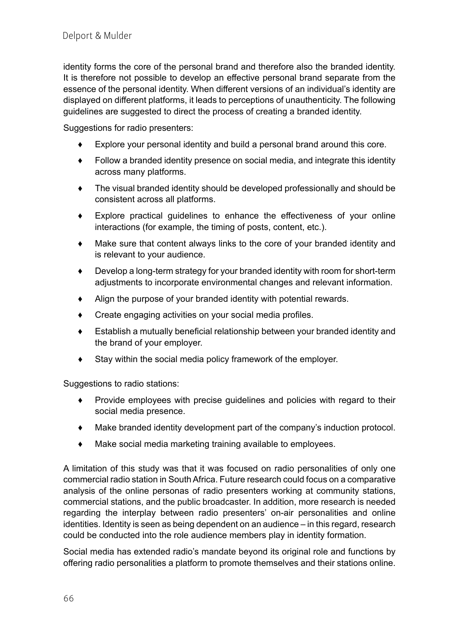identity forms the core of the personal brand and therefore also the branded identity. It is therefore not possible to develop an effective personal brand separate from the essence of the personal identity. When different versions of an individual's identity are displayed on different platforms, it leads to perceptions of unauthenticity. The following guidelines are suggested to direct the process of creating a branded identity.

Suggestions for radio presenters:

- Explore your personal identity and build a personal brand around this core.
- ♦ Follow a branded identity presence on social media, and integrate this identity across many platforms.
- ♦ The visual branded identity should be developed professionally and should be consistent across all platforms.
- ♦ Explore practical guidelines to enhance the effectiveness of your online interactions (for example, the timing of posts, content, etc.).
- ♦ Make sure that content always links to the core of your branded identity and is relevant to your audience.
- ♦ Develop a long-term strategy for your branded identity with room for short-term adjustments to incorporate environmental changes and relevant information.
- ♦ Align the purpose of your branded identity with potential rewards.
- ♦ Create engaging activities on your social media profiles.
- ♦ Establish a mutually beneficial relationship between your branded identity and the brand of your employer.
- ♦ Stay within the social media policy framework of the employer.

Suggestions to radio stations:

- Provide employees with precise quidelines and policies with regard to their social media presence.
- ♦ Make branded identity development part of the company's induction protocol.
- ♦ Make social media marketing training available to employees.

A limitation of this study was that it was focused on radio personalities of only one commercial radio station in South Africa. Future research could focus on a comparative analysis of the online personas of radio presenters working at community stations, commercial stations, and the public broadcaster. In addition, more research is needed regarding the interplay between radio presenters' on-air personalities and online identities. Identity is seen as being dependent on an audience – in this regard, research could be conducted into the role audience members play in identity formation.

Social media has extended radio's mandate beyond its original role and functions by offering radio personalities a platform to promote themselves and their stations online.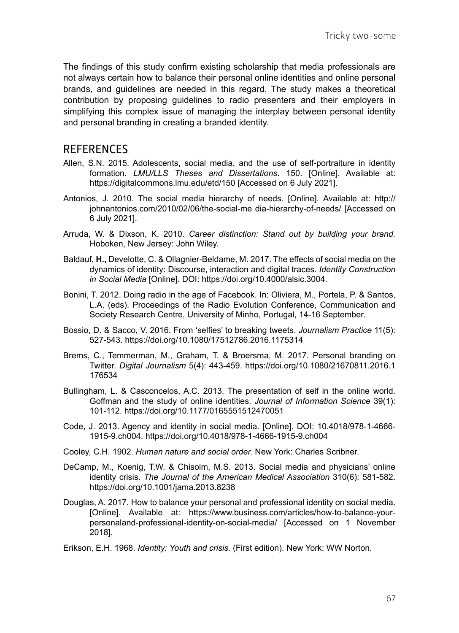The findings of this study confirm existing scholarship that media professionals are not always certain how to balance their personal online identities and online personal brands, and guidelines are needed in this regard. The study makes a theoretical contribution by proposing guidelines to radio presenters and their employers in simplifying this complex issue of managing the interplay between personal identity and personal branding in creating a branded identity.

### REFERENCES

- Allen, S.N. 2015. Adolescents, social media, and the use of self-portraiture in identity formation. *LMU/LLS Theses and Dissertations*. 150. [Online]. Available at: <https://digitalcommons.lmu.edu/etd/150>[Accessed on 6 July 2021].
- Antonios, J. 2010. The social media hierarchy of needs*.* [Online]. Available at: [http://](http://johnantonios.com/2010/02/06/the-social-me%20dia-hierarchy-of-needs/) [johnantonios.com/2010/02/06/the-social-me dia-hierarchy-of-needs/](http://johnantonios.com/2010/02/06/the-social-me%20dia-hierarchy-of-needs/) [Accessed on 6 July 2021].
- Arruda, W. & Dixson, K. 2010. *Career distinction: Stand out by building your brand.* Hoboken, New Jersey: John Wiley.
- Baldauf, **H.,** Develotte, C. & Ollagnier-Beldame, M. 2017. The effects of social media on the dynamics of identity: Discourse, interaction and digital traces. *Identity Construction in Social Media* [Online]. DOI: [https://doi.org/10.4000/alsic.3004.](https://doi.org/10.4000/alsic.3004)
- Bonini, T. 2012. Doing radio in the age of Facebook. In: Oliviera, M., Portela, P. & Santos, L.A. (eds). Proceedings of the Radio Evolution Conference, Communication and Society Research Centre, University of Minho, Portugal, 14-16 September.
- Bossio, D. & Sacco, V. 2016. From 'selfies' to breaking tweets. *Journalism Practice* 11(5): 527-543.<https://doi.org/10.1080/17512786.2016.1175314>
- Brems, C., Temmerman, M., Graham, T. & Broersma, M. 2017. Personal branding on Twitter. *Digital Journalism* 5(4): 443-459. [https://doi.org/10.1080/21670811.2016.1](https://doi.org/10.1080/21670811.2016.1176534) [176534](https://doi.org/10.1080/21670811.2016.1176534)
- Bullingham, L. & Casconcelos, A.C. 2013. The presentation of self in the online world. Goffman and the study of online identities. *Journal of Information Science* 39(1): 101-112. <https://doi.org/10.1177/0165551512470051>
- Code, J. 2013. Agency and identity in social media. [Online]. DOI: 10.4018/978-1-4666- 1915-9.ch004.<https://doi.org/10.4018/978-1-4666-1915-9.ch004>
- Cooley, C.H. 1902. *Human nature and social order.* New York: Charles Scribner.
- DeCamp, M., Koenig, T.W. & Chisolm, M.S. 2013. Social media and physicians' online identity crisis. *The Journal of the American Medical Association* 310(6): 581-582. <https://doi.org/10.1001/jama.2013.8238>
- Douglas, A. 2017. How to balance your personal and professional identity on social media. [Online]. Available at: [https://www.business.com/articles/how-to-balance-your](https://www.business.com/articles/how-to-balance-your-personaland-professional-identity-on-social-media/)[personaland-professional-identity-on-social-media/](https://www.business.com/articles/how-to-balance-your-personaland-professional-identity-on-social-media/) [Accessed on 1 November 2018].
- Erikson, E.H. 1968. *Identity: Youth and crisis.* (First edition). New York: WW Norton.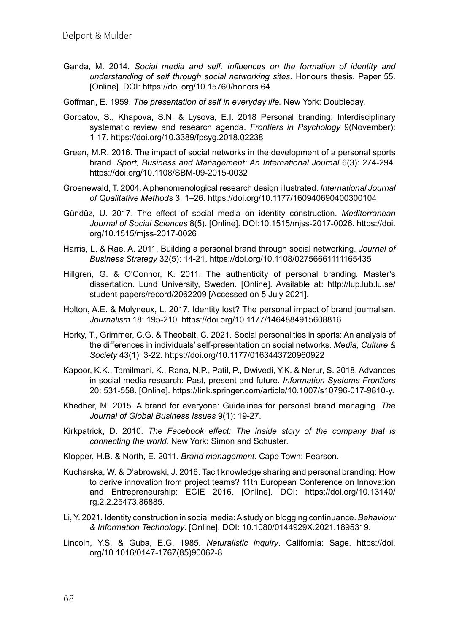- Ganda, M. 2014. *Social media and self. Influences on the formation of identity and understanding of self through social networking sites.* Honours thesis. Paper 55. [Online]. DOI:<https://doi.org/10.15760/honors.64>.
- Goffman, E. 1959. *The presentation of self in everyday life.* New York: Doubleday.
- Gorbatov, S., Khapova, S.N. & Lysova, E.I. 2018 Personal branding: Interdisciplinary systematic review and research agenda. *Frontiers in Psychology* 9(November): 1-17.<https://doi.org/10.3389/fpsyg.2018.02238>
- Green, M.R. 2016. The impact of social networks in the development of a personal sports brand. *Sport, Business and Management: An International Journal* 6(3): 274-294. <https://doi.org/10.1108/SBM-09-2015-0032>
- Groenewald, T. 2004. A phenomenological research design illustrated. *International Journal of Qualitative Methods* 3: 1–26.<https://doi.org/10.1177/160940690400300104>
- [Gündüz,](https://www.researchgate.net/profile/Ugur-Guenduez) U. 2017. The effect of social media on identity construction. *[Mediterranean](https://www.researchgate.net/journal/Mediterranean-Journal-of-Social-Sciences-2039-2117) [Journal of Social Sciences](https://www.researchgate.net/journal/Mediterranean-Journal-of-Social-Sciences-2039-2117)* 8(5). [Online]. DOI[:10.1515/mjss-2017-0026.](http://dx.doi.org/10.1515/mjss-2017-0026) [https://doi.](https://doi.org/10.1515/mjss-2017-0026) [org/10.1515/mjss-2017-0026](https://doi.org/10.1515/mjss-2017-0026)
- Harris, L. & Rae, A. 2011. Building a personal brand through social networking. *Journal of Business Strategy* 32(5): 14-21.<https://doi.org/10.1108/02756661111165435>
- Hillgren, G. & O'Connor, K. 2011. The authenticity of personal branding*.* Master's dissertation. Lund University, Sweden. [Online]. Available at: [http://lup.lub.lu.se/](https://protect-za.mimecast.com/s/peNSCr07qoHw1V76t7j2Wq?domain=lup.lub.lu.se) [student-papers/record/2062209](https://protect-za.mimecast.com/s/peNSCr07qoHw1V76t7j2Wq?domain=lup.lub.lu.se) [Accessed on 5 July 2021].
- Holton, A.E. & Molyneux, L. 2017. Identity lost? The personal impact of brand journalism. *Journalism* 18: 195-210.<https://doi.org/10.1177/1464884915608816>
- Horky, T., Grimmer, C.G. & Theobalt, C. 2021. Social personalities in sports: An analysis of the differences in individuals' self-presentation on social networks. *Media, Culture & Society* 43(1): 3-22.<https://doi.org/10.1177/0163443720960922>
- Kapoor, K.K., Tamilmani, K., Rana, N.P., Patil, P., Dwivedi, Y.K. & Nerur, S. 2018. Advances in social media research: Past, present and future. *Information Systems Frontiers* 20: 531-558. [Online].<https://link.springer.com/article/10.1007/s10796-017-9810-y>.
- Khedher, M. 2015. A brand for everyone: Guidelines for personal brand managing. *The Journal of Global Business Issues* 9(1): 19-27.
- Kirkpatrick, D. 2010. *The Facebook effect: The inside story of the company that is connecting the world.* New York: Simon and Schuster.
- Klopper, H.B. & North, E. 2011. *Brand management*. Cape Town: Pearson.
- Kucharska, W. & D'abrowski, J. 2016. Tacit knowledge sharing and personal branding: How to derive innovation from project teams? 11th European Conference on Innovation and Entrepreneurship: ECIE 2016. [Online]. DOI: [https://doi.org/10.13140/](https://doi.org/10.13140/rg.2.2.25473.86885) [rg.2.2.25473.86885](https://doi.org/10.13140/rg.2.2.25473.86885).
- Li, Y. 2021. Identity construction in social media: A study on blogging continuance. *Behaviour & Information Technology*. [Online]. DOI: [10.1080/0144929X.2021.1895319](https://doi.org/10.1080/0144929X.2021.1895319).
- Lincoln, Y.S. & Guba, E.G. 1985. *Naturalistic inquiry*. California: Sage. [https://doi.](https://doi.org/10.1016/0147-1767(85)90062-8) [org/10.1016/0147-1767\(85\)90062-8](https://doi.org/10.1016/0147-1767(85)90062-8)